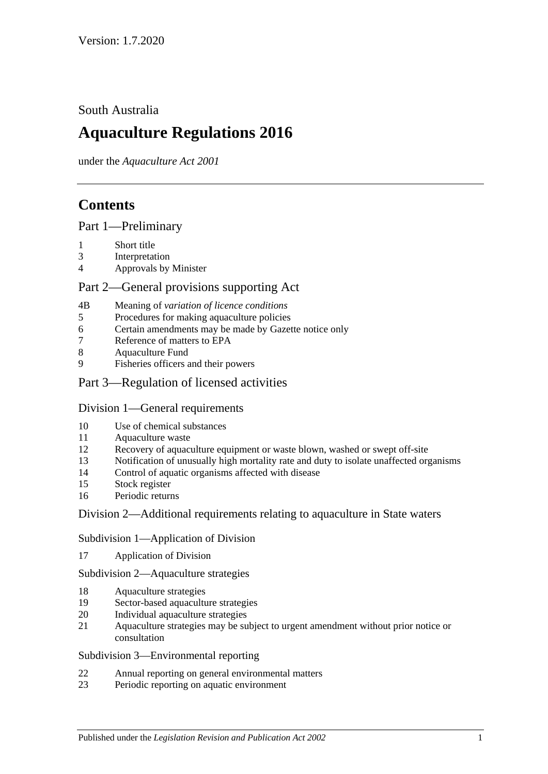South Australia

# **Aquaculture Regulations 2016**

under the *Aquaculture Act 2001*

# **Contents**

Part [1—Preliminary](#page-2-0)

- 1 [Short title](#page-2-1)
- 3 [Interpretation](#page-2-2)
- 4 [Approvals by Minister](#page-3-0)

## Part [2—General provisions supporting Act](#page-3-1)

- 4B Meaning of *[variation of licence conditions](#page-3-2)*
- 5 Procedures [for making aquaculture policies](#page-4-0)
- 6 [Certain amendments may be made by Gazette notice only](#page-4-1)
- 7 [Reference of matters to EPA](#page-4-2)
- 8 [Aquaculture Fund](#page-4-3)
- 9 [Fisheries officers and their powers](#page-5-0)

## Part 3—Regulation of [licensed activities](#page-5-1)

## Division [1—General requirements](#page-5-2)

- 10 [Use of chemical substances](#page-5-3)
- 11 [Aquaculture waste](#page-6-0)
- 12 [Recovery of aquaculture equipment or waste blown, washed or swept off-site](#page-6-1)
- 13 [Notification of unusually high mortality rate and duty to isolate unaffected organisms](#page-6-2)
- 14 [Control of aquatic organisms affected with disease](#page-7-0)
- 15 [Stock register](#page-8-0)
- 16 [Periodic returns](#page-9-0)

## Division [2—Additional requirements relating to aquaculture in State waters](#page-10-0)

Subdivision [1—Application of Division](#page-10-1)

17 [Application of Division](#page-10-2)

Subdivision [2—Aquaculture strategies](#page-10-3)

- 18 [Aquaculture strategies](#page-10-4)
- 19 [Sector-based aquaculture strategies](#page-11-0)
- 20 [Individual aquaculture strategies](#page-11-1)
- 21 [Aquaculture strategies may be subject to urgent amendment without prior notice or](#page-11-2)  [consultation](#page-11-2)

#### Subdivision [3—Environmental reporting](#page-12-0)

- 22 [Annual reporting on general environmental matters](#page-12-1)
- 23 [Periodic reporting on aquatic environment](#page-13-0)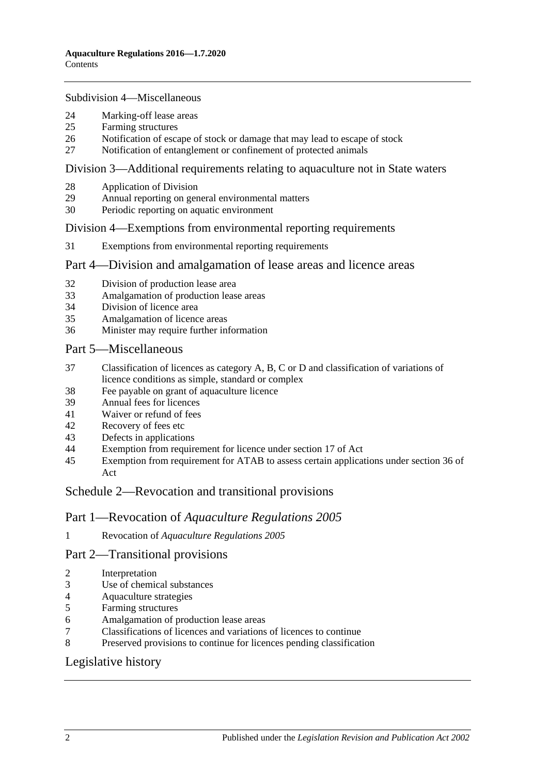#### Subdivision [4—Miscellaneous](#page-13-1)

- [Marking-off lease areas](#page-13-2)
- [Farming structures](#page-14-0)
- [Notification of escape of stock or damage that may lead to escape of stock](#page-14-1)
- [Notification of entanglement or confinement of protected animals](#page-15-0)

#### Division [3—Additional requirements relating to aquaculture not in State waters](#page-16-0)

- [Application of Division](#page-16-1)
- [Annual reporting on general environmental matters](#page-16-2)
- [Periodic reporting on aquatic environment](#page-17-0)

### Division [4—Exemptions from environmental reporting requirements](#page-17-1)

[Exemptions from environmental reporting requirements](#page-17-2)

#### Part [4—Division and amalgamation of lease areas and licence areas](#page-18-0)

- [Division of production lease area](#page-18-1)
- [Amalgamation of production lease areas](#page-19-0)
- [Division of licence area](#page-20-0)
- [Amalgamation of licence areas](#page-21-0)
- [Minister may require further information](#page-21-1)

#### Part [5—Miscellaneous](#page-22-0)

- [Classification of licences as category A, B, C or D and classification of variations of](#page-22-1)  [licence conditions as simple, standard or complex](#page-22-1)
- [Fee payable on grant of aquaculture licence](#page-23-0)
- [Annual fees for licences](#page-23-1)
- [Waiver or refund of fees](#page-23-2)
- [Recovery of fees etc](#page-23-3)
- [Defects in applications](#page-23-4)
- [Exemption from requirement for licence under section 17 of Act](#page-24-0)
- [Exemption from requirement for ATAB to assess certain applications under section](#page-24-1) 36 of [Act](#page-24-1)

## Schedule [2—Revocation and transitional provisions](#page-24-2)

#### Part 1—Revocation of *Aquaculture Regulations 2005*

Revocation of *[Aquaculture Regulations](#page-24-3) 2005*

## Part 2—Transitional provisions

- [Interpretation](#page-24-4)
- [Use of chemical substances](#page-24-5)
- [Aquaculture strategies](#page-24-6)
- [Farming structures](#page-25-0)
- [Amalgamation of production lease areas](#page-25-1)
- [Classifications of licences and variations of licences to continue](#page-25-2)
- [Preserved provisions to continue for licences pending classification](#page-25-3)

## [Legislative history](#page-26-0)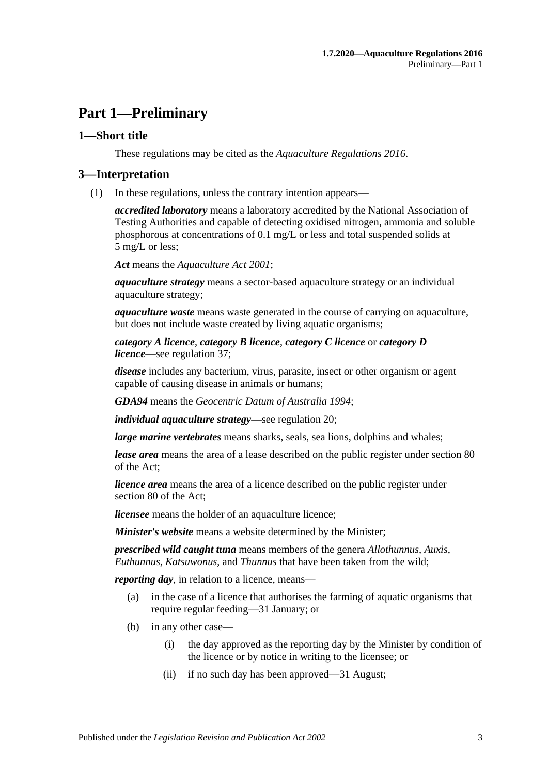# <span id="page-2-0"></span>**Part 1—Preliminary**

### <span id="page-2-1"></span>**1—Short title**

These regulations may be cited as the *Aquaculture Regulations 2016*.

#### <span id="page-2-2"></span>**3—Interpretation**

(1) In these regulations, unless the contrary intention appears—

*accredited laboratory* means a laboratory accredited by the National Association of Testing Authorities and capable of detecting oxidised nitrogen, ammonia and soluble phosphorous at concentrations of 0.1 mg/L or less and total suspended solids at 5 mg/L or less;

*Act* means the *[Aquaculture Act](http://www.legislation.sa.gov.au/index.aspx?action=legref&type=act&legtitle=Aquaculture%20Act%202001) 2001*;

*aquaculture strategy* means a sector-based aquaculture strategy or an individual aquaculture strategy;

*aquaculture waste* means waste generated in the course of carrying on aquaculture, but does not include waste created by living aquatic organisms;

*category A licence*, *category B licence*, *category C licence* or *category D licence*—see [regulation](#page-22-1) 37;

*disease* includes any bacterium, virus, parasite, insect or other organism or agent capable of causing disease in animals or humans;

*GDA94* means the *Geocentric Datum of Australia 1994*;

*individual aquaculture strategy*—see [regulation](#page-11-1) 20;

*large marine vertebrates* means sharks, seals, sea lions, dolphins and whales;

*lease area* means the area of a lease described on the public register under section 80 of the Act;

*licence area* means the area of a licence described on the public register under section 80 of the Act;

*licensee* means the holder of an aquaculture licence;

*Minister's website* means a website determined by the Minister;

*prescribed wild caught tuna* means members of the genera *Allothunnus*, *Auxis*, *Euthunnus*, *Katsuwonus*, and *Thunnus* that have been taken from the wild;

*reporting day*, in relation to a licence, means—

- (a) in the case of a licence that authorises the farming of aquatic organisms that require regular feeding—31 January; or
- (b) in any other case—
	- (i) the day approved as the reporting day by the Minister by condition of the licence or by notice in writing to the licensee; or
	- (ii) if no such day has been approved—31 August;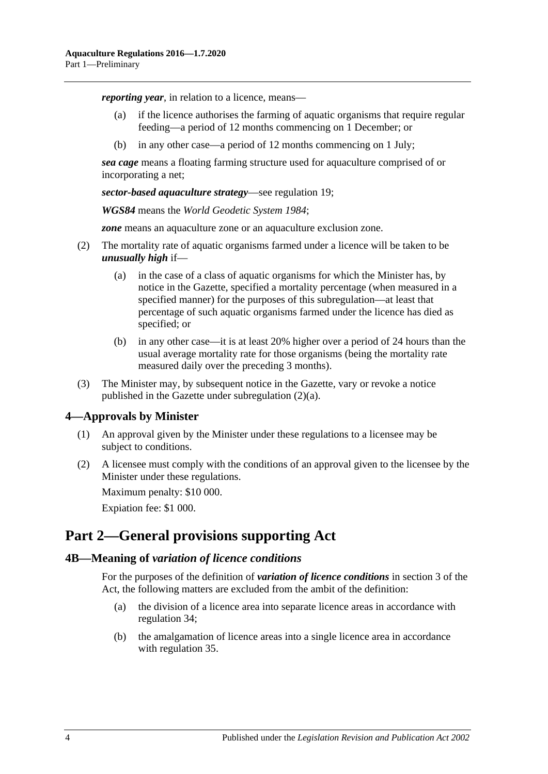*reporting year*, in relation to a licence, means—

- (a) if the licence authorises the farming of aquatic organisms that require regular feeding—a period of 12 months commencing on 1 December; or
- (b) in any other case—a period of 12 months commencing on 1 July;

*sea cage* means a floating farming structure used for aquaculture comprised of or incorporating a net;

*sector-based aquaculture strategy*—see [regulation](#page-11-0) 19;

*WGS84* means the *World Geodetic System 1984*;

*zone* means an aquaculture zone or an aquaculture exclusion zone.

- <span id="page-3-4"></span><span id="page-3-3"></span>(2) The mortality rate of aquatic organisms farmed under a licence will be taken to be *unusually high* if—
	- (a) in the case of a class of aquatic organisms for which the Minister has, by notice in the Gazette, specified a mortality percentage (when measured in a specified manner) for the purposes of this subregulation—at least that percentage of such aquatic organisms farmed under the licence has died as specified; or
	- (b) in any other case—it is at least 20% higher over a period of 24 hours than the usual average mortality rate for those organisms (being the mortality rate measured daily over the preceding 3 months).
- (3) The Minister may, by subsequent notice in the Gazette, vary or revoke a notice published in the Gazette under [subregulation](#page-3-3) (2)(a).

#### <span id="page-3-0"></span>**4—Approvals by Minister**

- (1) An approval given by the Minister under these regulations to a licensee may be subject to conditions.
- (2) A licensee must comply with the conditions of an approval given to the licensee by the Minister under these regulations.

Maximum penalty: \$10 000.

Expiation fee: \$1 000.

## <span id="page-3-1"></span>**Part 2—General provisions supporting Act**

#### <span id="page-3-2"></span>**4B—Meaning of** *variation of licence conditions*

For the purposes of the definition of *variation of licence conditions* in section 3 of the Act, the following matters are excluded from the ambit of the definition:

- (a) the division of a licence area into separate licence areas in accordance with [regulation](#page-20-0) 34;
- (b) the amalgamation of licence areas into a single licence area in accordance with [regulation](#page-21-0) 35.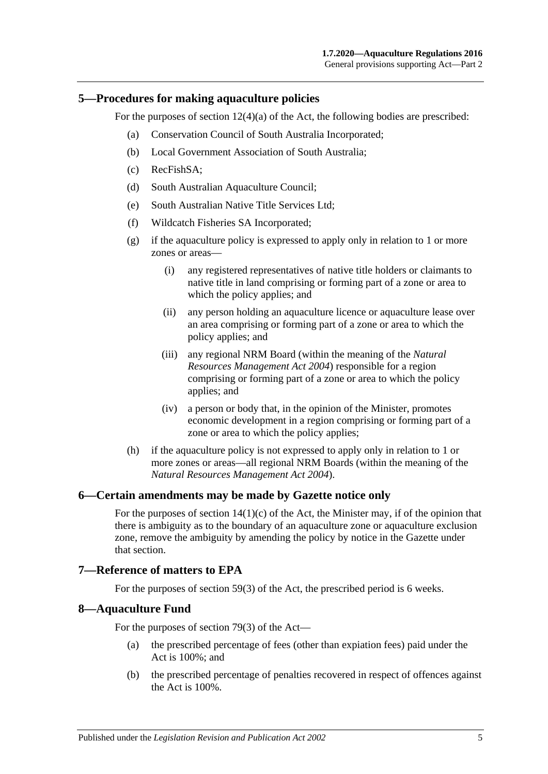#### <span id="page-4-0"></span>**5—Procedures for making aquaculture policies**

For the purposes of section  $12(4)(a)$  of the Act, the following bodies are prescribed:

- (a) Conservation Council of South Australia Incorporated;
- (b) Local Government Association of South Australia;
- (c) RecFishSA;
- (d) South Australian Aquaculture Council;
- (e) South Australian Native Title Services Ltd;
- (f) Wildcatch Fisheries SA Incorporated;
- (g) if the aquaculture policy is expressed to apply only in relation to 1 or more zones or areas—
	- (i) any registered representatives of native title holders or claimants to native title in land comprising or forming part of a zone or area to which the policy applies; and
	- (ii) any person holding an aquaculture licence or aquaculture lease over an area comprising or forming part of a zone or area to which the policy applies; and
	- (iii) any regional NRM Board (within the meaning of the *[Natural](http://www.legislation.sa.gov.au/index.aspx?action=legref&type=act&legtitle=Natural%20Resources%20Management%20Act%202004)  [Resources Management Act](http://www.legislation.sa.gov.au/index.aspx?action=legref&type=act&legtitle=Natural%20Resources%20Management%20Act%202004) 2004*) responsible for a region comprising or forming part of a zone or area to which the policy applies; and
	- (iv) a person or body that, in the opinion of the Minister, promotes economic development in a region comprising or forming part of a zone or area to which the policy applies;
- (h) if the aquaculture policy is not expressed to apply only in relation to 1 or more zones or areas—all regional NRM Boards (within the meaning of the *[Natural Resources Management Act](http://www.legislation.sa.gov.au/index.aspx?action=legref&type=act&legtitle=Natural%20Resources%20Management%20Act%202004) 2004*).

#### <span id="page-4-1"></span>**6—Certain amendments may be made by Gazette notice only**

For the purposes of section  $14(1)(c)$  of the Act, the Minister may, if of the opinion that there is ambiguity as to the boundary of an aquaculture zone or aquaculture exclusion zone, remove the ambiguity by amending the policy by notice in the Gazette under that section.

#### <span id="page-4-2"></span>**7—Reference of matters to EPA**

For the purposes of section 59(3) of the Act, the prescribed period is 6 weeks.

#### <span id="page-4-3"></span>**8—Aquaculture Fund**

For the purposes of section 79(3) of the Act—

- (a) the prescribed percentage of fees (other than expiation fees) paid under the Act is 100%; and
- (b) the prescribed percentage of penalties recovered in respect of offences against the Act is 100%.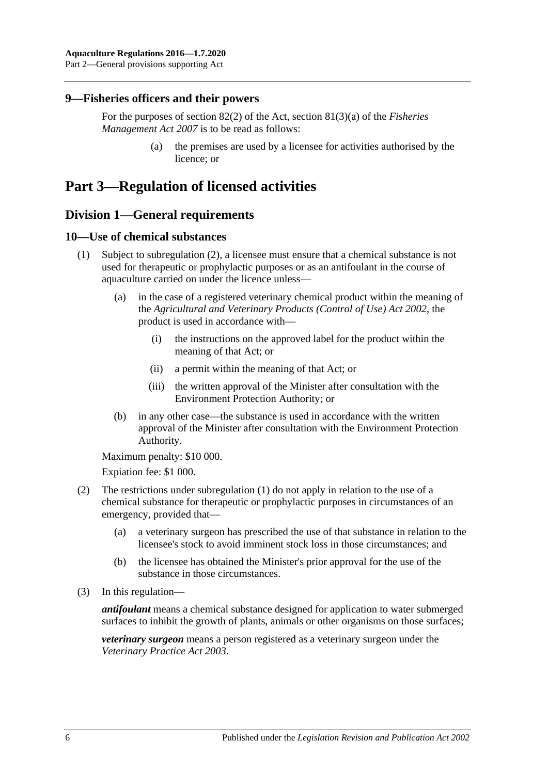### <span id="page-5-0"></span>**9—Fisheries officers and their powers**

For the purposes of section 82(2) of the Act, section 81(3)(a) of the *[Fisheries](http://www.legislation.sa.gov.au/index.aspx?action=legref&type=act&legtitle=Fisheries%20Management%20Act%202007)  [Management Act](http://www.legislation.sa.gov.au/index.aspx?action=legref&type=act&legtitle=Fisheries%20Management%20Act%202007) 2007* is to be read as follows:

> (a) the premises are used by a licensee for activities authorised by the licence; or

# <span id="page-5-2"></span><span id="page-5-1"></span>**Part 3—Regulation of licensed activities**

## **Division 1—General requirements**

### <span id="page-5-5"></span><span id="page-5-3"></span>**10—Use of chemical substances**

- (1) Subject to [subregulation](#page-5-4) (2), a licensee must ensure that a chemical substance is not used for therapeutic or prophylactic purposes or as an antifoulant in the course of aquaculture carried on under the licence unless—
	- (a) in the case of a registered veterinary chemical product within the meaning of the *[Agricultural and Veterinary Products \(Control of Use\) Act](http://www.legislation.sa.gov.au/index.aspx?action=legref&type=act&legtitle=Agricultural%20and%20Veterinary%20Products%20(Control%20of%20Use)%20Act%202002) 2002*, the product is used in accordance with—
		- (i) the instructions on the approved label for the product within the meaning of that Act; or
		- (ii) a permit within the meaning of that Act; or
		- (iii) the written approval of the Minister after consultation with the Environment Protection Authority; or
	- (b) in any other case—the substance is used in accordance with the written approval of the Minister after consultation with the Environment Protection Authority.

<span id="page-5-6"></span>Maximum penalty: \$10 000.

Expiation fee: \$1 000.

- <span id="page-5-4"></span>(2) The restrictions under [subregulation](#page-5-5) (1) do not apply in relation to the use of a chemical substance for therapeutic or prophylactic purposes in circumstances of an emergency, provided that—
	- (a) a veterinary surgeon has prescribed the use of that substance in relation to the licensee's stock to avoid imminent stock loss in those circumstances; and
	- (b) the licensee has obtained the Minister's prior approval for the use of the substance in those circumstances.
- (3) In this regulation—

*antifoulant* means a chemical substance designed for application to water submerged surfaces to inhibit the growth of plants, animals or other organisms on those surfaces;

*veterinary surgeon* means a person registered as a veterinary surgeon under the *[Veterinary Practice Act](http://www.legislation.sa.gov.au/index.aspx?action=legref&type=act&legtitle=Veterinary%20Practice%20Act%202003) 2003*.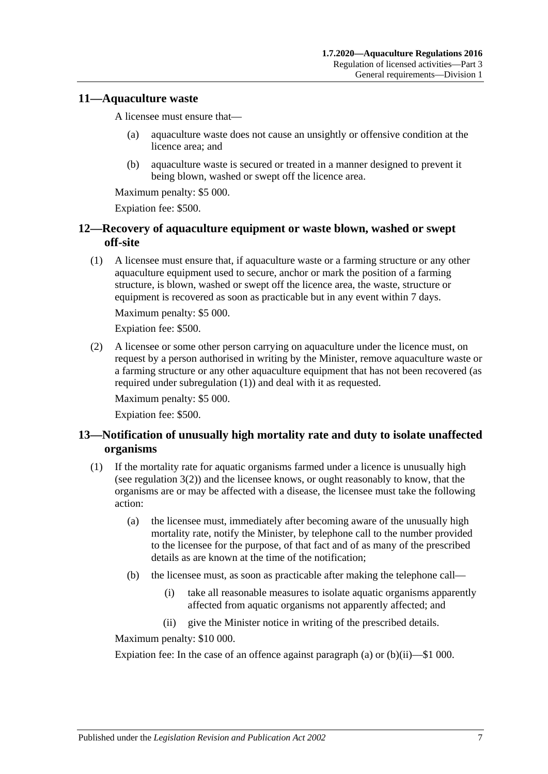### <span id="page-6-0"></span>**11—Aquaculture waste**

A licensee must ensure that—

- (a) aquaculture waste does not cause an unsightly or offensive condition at the licence area; and
- (b) aquaculture waste is secured or treated in a manner designed to prevent it being blown, washed or swept off the licence area.

Maximum penalty: \$5 000.

Expiation fee: \$500.

## <span id="page-6-1"></span>**12—Recovery of aquaculture equipment or waste blown, washed or swept off-site**

<span id="page-6-3"></span>(1) A licensee must ensure that, if aquaculture waste or a farming structure or any other aquaculture equipment used to secure, anchor or mark the position of a farming structure, is blown, washed or swept off the licence area, the waste, structure or equipment is recovered as soon as practicable but in any event within 7 days.

Maximum penalty: \$5 000.

Expiation fee: \$500.

(2) A licensee or some other person carrying on aquaculture under the licence must, on request by a person authorised in writing by the Minister, remove aquaculture waste or a farming structure or any other aquaculture equipment that has not been recovered (as required under [subregulation](#page-6-3) (1)) and deal with it as requested.

Maximum penalty: \$5 000.

Expiation fee: \$500.

## <span id="page-6-2"></span>**13—Notification of unusually high mortality rate and duty to isolate unaffected organisms**

- <span id="page-6-6"></span><span id="page-6-4"></span>(1) If the mortality rate for aquatic organisms farmed under a licence is unusually high (see [regulation](#page-3-4) 3(2)) and the licensee knows, or ought reasonably to know, that the organisms are or may be affected with a disease, the licensee must take the following action:
	- (a) the licensee must, immediately after becoming aware of the unusually high mortality rate, notify the Minister, by telephone call to the number provided to the licensee for the purpose, of that fact and of as many of the prescribed details as are known at the time of the notification;
	- (b) the licensee must, as soon as practicable after making the telephone call—
		- (i) take all reasonable measures to isolate aquatic organisms apparently affected from aquatic organisms not apparently affected; and
		- (ii) give the Minister notice in writing of the prescribed details.

<span id="page-6-5"></span>Maximum penalty: \$10 000.

Expiation fee: In the case of an offence against [paragraph](#page-6-4) (a) or  $(b)(ii)$ —\$1 000.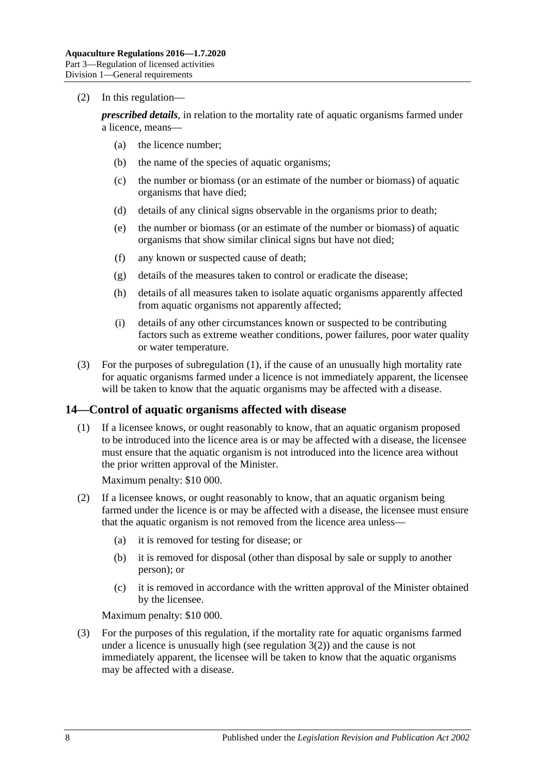#### (2) In this regulation—

*prescribed details*, in relation to the mortality rate of aquatic organisms farmed under a licence, means—

- (a) the licence number;
- (b) the name of the species of aquatic organisms;
- (c) the number or biomass (or an estimate of the number or biomass) of aquatic organisms that have died;
- (d) details of any clinical signs observable in the organisms prior to death;
- (e) the number or biomass (or an estimate of the number or biomass) of aquatic organisms that show similar clinical signs but have not died;
- (f) any known or suspected cause of death;
- (g) details of the measures taken to control or eradicate the disease;
- (h) details of all measures taken to isolate aquatic organisms apparently affected from aquatic organisms not apparently affected;
- (i) details of any other circumstances known or suspected to be contributing factors such as extreme weather conditions, power failures, poor water quality or water temperature.
- (3) For the purposes of [subregulation](#page-6-6) (1), if the cause of an unusually high mortality rate for aquatic organisms farmed under a licence is not immediately apparent, the licensee will be taken to know that the aquatic organisms may be affected with a disease.

## <span id="page-7-0"></span>**14—Control of aquatic organisms affected with disease**

(1) If a licensee knows, or ought reasonably to know, that an aquatic organism proposed to be introduced into the licence area is or may be affected with a disease, the licensee must ensure that the aquatic organism is not introduced into the licence area without the prior written approval of the Minister.

Maximum penalty: \$10 000.

- (2) If a licensee knows, or ought reasonably to know, that an aquatic organism being farmed under the licence is or may be affected with a disease, the licensee must ensure that the aquatic organism is not removed from the licence area unless—
	- (a) it is removed for testing for disease; or
	- (b) it is removed for disposal (other than disposal by sale or supply to another person); or
	- (c) it is removed in accordance with the written approval of the Minister obtained by the licensee.

Maximum penalty: \$10 000.

(3) For the purposes of this regulation, if the mortality rate for aquatic organisms farmed under a licence is unusually high (see [regulation](#page-3-4)  $3(2)$ ) and the cause is not immediately apparent, the licensee will be taken to know that the aquatic organisms may be affected with a disease.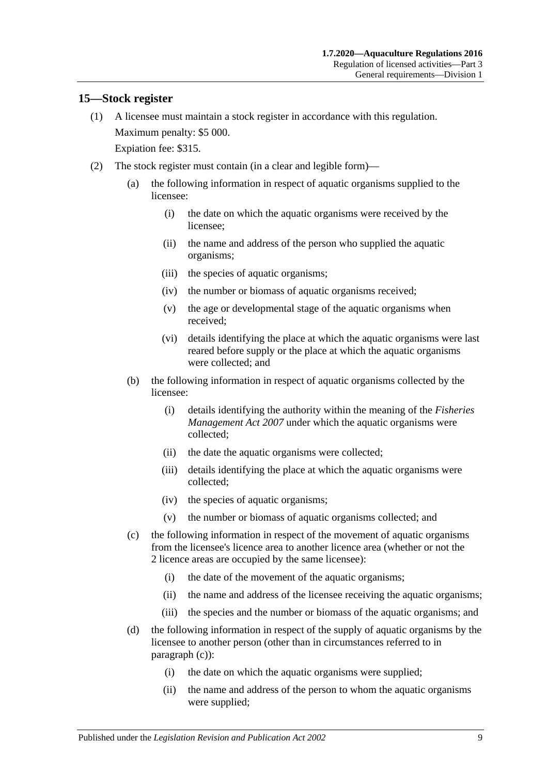## <span id="page-8-0"></span>**15—Stock register**

- (1) A licensee must maintain a stock register in accordance with this regulation. Maximum penalty: \$5 000. Expiation fee: \$315.
- <span id="page-8-1"></span>(2) The stock register must contain (in a clear and legible form)—
	- (a) the following information in respect of aquatic organisms supplied to the licensee:
		- (i) the date on which the aquatic organisms were received by the licensee;
		- (ii) the name and address of the person who supplied the aquatic organisms;
		- (iii) the species of aquatic organisms;
		- (iv) the number or biomass of aquatic organisms received;
		- (v) the age or developmental stage of the aquatic organisms when received;
		- (vi) details identifying the place at which the aquatic organisms were last reared before supply or the place at which the aquatic organisms were collected; and
	- (b) the following information in respect of aquatic organisms collected by the licensee:
		- (i) details identifying the authority within the meaning of the *[Fisheries](http://www.legislation.sa.gov.au/index.aspx?action=legref&type=act&legtitle=Fisheries%20Management%20Act%202007)  [Management Act](http://www.legislation.sa.gov.au/index.aspx?action=legref&type=act&legtitle=Fisheries%20Management%20Act%202007) 2007* under which the aquatic organisms were collected;
		- (ii) the date the aquatic organisms were collected;
		- (iii) details identifying the place at which the aquatic organisms were collected;
		- (iv) the species of aquatic organisms;
		- (v) the number or biomass of aquatic organisms collected; and
	- (c) the following information in respect of the movement of aquatic organisms from the licensee's licence area to another licence area (whether or not the 2 licence areas are occupied by the same licensee):
		- (i) the date of the movement of the aquatic organisms;
		- (ii) the name and address of the licensee receiving the aquatic organisms;
		- (iii) the species and the number or biomass of the aquatic organisms; and
	- (d) the following information in respect of the supply of aquatic organisms by the licensee to another person (other than in circumstances referred to in [paragraph](#page-8-1) (c)):
		- (i) the date on which the aquatic organisms were supplied;
		- (ii) the name and address of the person to whom the aquatic organisms were supplied;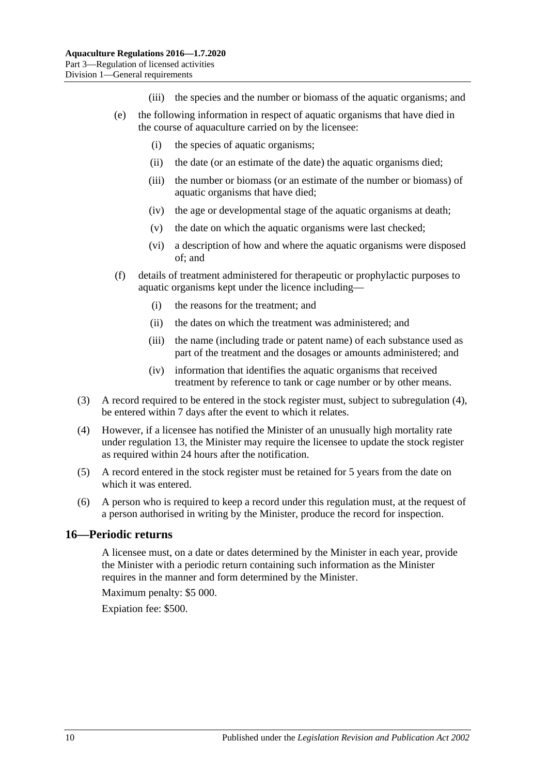- (iii) the species and the number or biomass of the aquatic organisms; and
- (e) the following information in respect of aquatic organisms that have died in the course of aquaculture carried on by the licensee:
	- (i) the species of aquatic organisms;
	- (ii) the date (or an estimate of the date) the aquatic organisms died;
	- (iii) the number or biomass (or an estimate of the number or biomass) of aquatic organisms that have died;
	- (iv) the age or developmental stage of the aquatic organisms at death;
	- (v) the date on which the aquatic organisms were last checked;
	- (vi) a description of how and where the aquatic organisms were disposed of; and
- (f) details of treatment administered for therapeutic or prophylactic purposes to aquatic organisms kept under the licence including—
	- (i) the reasons for the treatment; and
	- (ii) the dates on which the treatment was administered; and
	- (iii) the name (including trade or patent name) of each substance used as part of the treatment and the dosages or amounts administered; and
	- (iv) information that identifies the aquatic organisms that received treatment by reference to tank or cage number or by other means.
- (3) A record required to be entered in the stock register must, subject to [subregulation](#page-9-1) (4), be entered within 7 days after the event to which it relates.
- <span id="page-9-1"></span>(4) However, if a licensee has notified the Minister of an unusually high mortality rate under [regulation](#page-6-2) 13, the Minister may require the licensee to update the stock register as required within 24 hours after the notification.
- (5) A record entered in the stock register must be retained for 5 years from the date on which it was entered.
- (6) A person who is required to keep a record under this regulation must, at the request of a person authorised in writing by the Minister, produce the record for inspection.

#### <span id="page-9-0"></span>**16—Periodic returns**

A licensee must, on a date or dates determined by the Minister in each year, provide the Minister with a periodic return containing such information as the Minister requires in the manner and form determined by the Minister.

Maximum penalty: \$5 000.

Expiation fee: \$500.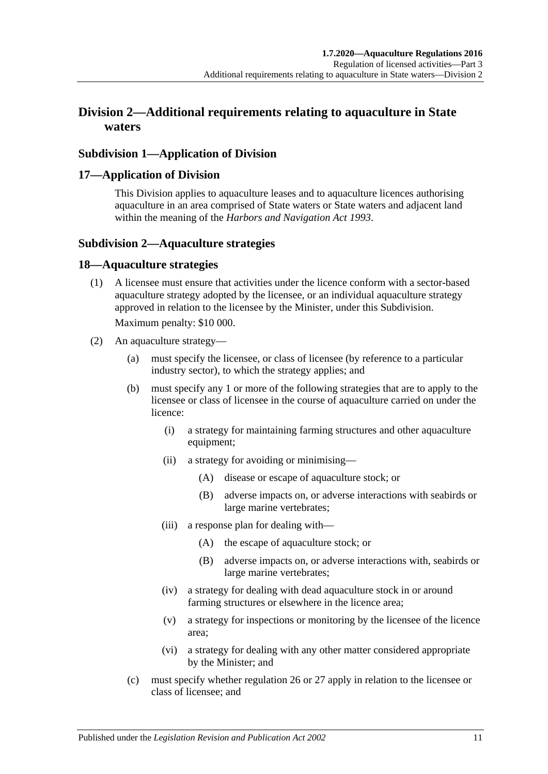## <span id="page-10-0"></span>**Division 2—Additional requirements relating to aquaculture in State waters**

## <span id="page-10-1"></span>**Subdivision 1—Application of Division**

### <span id="page-10-2"></span>**17—Application of Division**

This Division applies to aquaculture leases and to aquaculture licences authorising aquaculture in an area comprised of State waters or State waters and adjacent land within the meaning of the *[Harbors and Navigation Act](http://www.legislation.sa.gov.au/index.aspx?action=legref&type=act&legtitle=Harbors%20and%20Navigation%20Act%201993) 1993*.

## <span id="page-10-3"></span>**Subdivision 2—Aquaculture strategies**

#### <span id="page-10-4"></span>**18—Aquaculture strategies**

(1) A licensee must ensure that activities under the licence conform with a sector-based aquaculture strategy adopted by the licensee, or an individual aquaculture strategy approved in relation to the licensee by the Minister, under this Subdivision.

Maximum penalty: \$10 000.

- (2) An aquaculture strategy—
	- (a) must specify the licensee, or class of licensee (by reference to a particular industry sector), to which the strategy applies; and
	- (b) must specify any 1 or more of the following strategies that are to apply to the licensee or class of licensee in the course of aquaculture carried on under the licence:
		- (i) a strategy for maintaining farming structures and other aquaculture equipment;
		- (ii) a strategy for avoiding or minimising—
			- (A) disease or escape of aquaculture stock; or
			- (B) adverse impacts on, or adverse interactions with seabirds or large marine vertebrates;
		- (iii) a response plan for dealing with—
			- (A) the escape of aquaculture stock; or
			- (B) adverse impacts on, or adverse interactions with, seabirds or large marine vertebrates;
		- (iv) a strategy for dealing with dead aquaculture stock in or around farming structures or elsewhere in the licence area;
		- (v) a strategy for inspections or monitoring by the licensee of the licence area;
		- (vi) a strategy for dealing with any other matter considered appropriate by the Minister; and
	- (c) must specify whether [regulation](#page-14-1) 26 or [27](#page-15-0) apply in relation to the licensee or class of licensee; and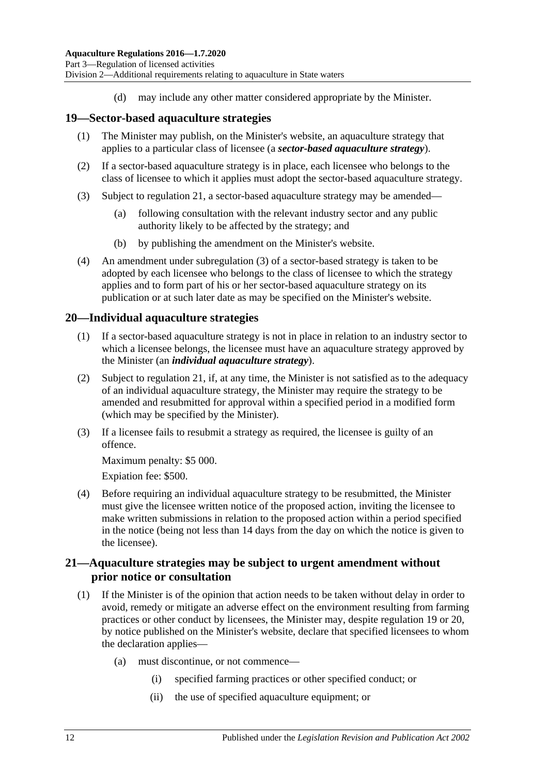(d) may include any other matter considered appropriate by the Minister.

### <span id="page-11-0"></span>**19—Sector-based aquaculture strategies**

- (1) The Minister may publish, on the Minister's website, an aquaculture strategy that applies to a particular class of licensee (a *sector-based aquaculture strategy*).
- (2) If a sector-based aquaculture strategy is in place, each licensee who belongs to the class of licensee to which it applies must adopt the sector-based aquaculture strategy.
- <span id="page-11-3"></span>(3) Subject to [regulation](#page-11-2) 21, a sector-based aquaculture strategy may be amended—
	- (a) following consultation with the relevant industry sector and any public authority likely to be affected by the strategy; and
	- (b) by publishing the amendment on the Minister's website.
- (4) An amendment under [subregulation](#page-11-3) (3) of a sector-based strategy is taken to be adopted by each licensee who belongs to the class of licensee to which the strategy applies and to form part of his or her sector-based aquaculture strategy on its publication or at such later date as may be specified on the Minister's website.

#### <span id="page-11-1"></span>**20—Individual aquaculture strategies**

- (1) If a sector-based aquaculture strategy is not in place in relation to an industry sector to which a licensee belongs, the licensee must have an aquaculture strategy approved by the Minister (an *individual aquaculture strategy*).
- (2) Subject to [regulation](#page-11-2) 21, if, at any time, the Minister is not satisfied as to the adequacy of an individual aquaculture strategy, the Minister may require the strategy to be amended and resubmitted for approval within a specified period in a modified form (which may be specified by the Minister).
- (3) If a licensee fails to resubmit a strategy as required, the licensee is guilty of an offence.

Maximum penalty: \$5 000.

Expiation fee: \$500.

(4) Before requiring an individual aquaculture strategy to be resubmitted, the Minister must give the licensee written notice of the proposed action, inviting the licensee to make written submissions in relation to the proposed action within a period specified in the notice (being not less than 14 days from the day on which the notice is given to the licensee).

## <span id="page-11-2"></span>**21—Aquaculture strategies may be subject to urgent amendment without prior notice or consultation**

- <span id="page-11-4"></span>(1) If the Minister is of the opinion that action needs to be taken without delay in order to avoid, remedy or mitigate an adverse effect on the environment resulting from farming practices or other conduct by licensees, the Minister may, despite [regulation](#page-11-0) 19 or [20,](#page-11-1) by notice published on the Minister's website, declare that specified licensees to whom the declaration applies—
	- (a) must discontinue, or not commence—
		- (i) specified farming practices or other specified conduct; or
		- (ii) the use of specified aquaculture equipment; or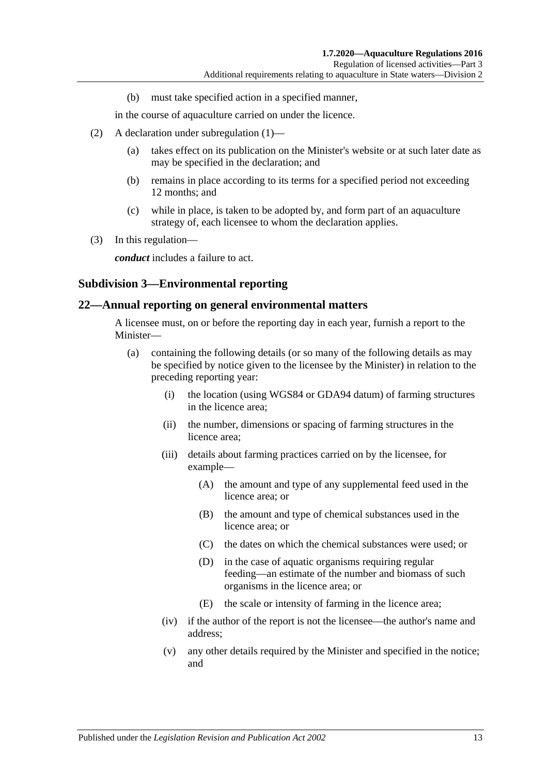(b) must take specified action in a specified manner,

in the course of aquaculture carried on under the licence.

- (2) A declaration under [subregulation](#page-11-4) (1)—
	- (a) takes effect on its publication on the Minister's website or at such later date as may be specified in the declaration; and
	- (b) remains in place according to its terms for a specified period not exceeding 12 months; and
	- (c) while in place, is taken to be adopted by, and form part of an aquaculture strategy of, each licensee to whom the declaration applies.
- (3) In this regulation—

*conduct* includes a failure to act.

#### <span id="page-12-0"></span>**Subdivision 3—Environmental reporting**

#### <span id="page-12-1"></span>**22—Annual reporting on general environmental matters**

A licensee must, on or before the reporting day in each year, furnish a report to the Minister—

- (a) containing the following details (or so many of the following details as may be specified by notice given to the licensee by the Minister) in relation to the preceding reporting year:
	- (i) the location (using WGS84 or GDA94 datum) of farming structures in the licence area;
	- (ii) the number, dimensions or spacing of farming structures in the licence area;
	- (iii) details about farming practices carried on by the licensee, for example—
		- (A) the amount and type of any supplemental feed used in the licence area; or
		- (B) the amount and type of chemical substances used in the licence area; or
		- (C) the dates on which the chemical substances were used; or
		- (D) in the case of aquatic organisms requiring regular feeding—an estimate of the number and biomass of such organisms in the licence area; or
		- (E) the scale or intensity of farming in the licence area;
	- (iv) if the author of the report is not the licensee—the author's name and address;
	- (v) any other details required by the Minister and specified in the notice; and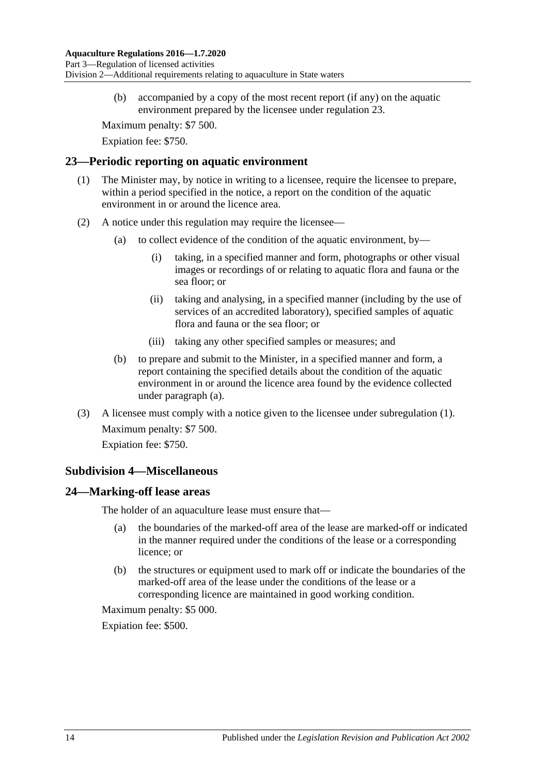(b) accompanied by a copy of the most recent report (if any) on the aquatic environment prepared by the licensee under [regulation](#page-13-0) 23.

Maximum penalty: \$7 500.

Expiation fee: \$750.

#### <span id="page-13-4"></span><span id="page-13-0"></span>**23—Periodic reporting on aquatic environment**

- (1) The Minister may, by notice in writing to a licensee, require the licensee to prepare, within a period specified in the notice, a report on the condition of the aquatic environment in or around the licence area.
- <span id="page-13-3"></span>(2) A notice under this regulation may require the licensee—
	- (a) to collect evidence of the condition of the aquatic environment, by—
		- (i) taking, in a specified manner and form, photographs or other visual images or recordings of or relating to aquatic flora and fauna or the sea floor; or
		- (ii) taking and analysing, in a specified manner (including by the use of services of an accredited laboratory), specified samples of aquatic flora and fauna or the sea floor; or
		- (iii) taking any other specified samples or measures; and
	- (b) to prepare and submit to the Minister, in a specified manner and form, a report containing the specified details about the condition of the aquatic environment in or around the licence area found by the evidence collected under [paragraph](#page-13-3) (a).
- (3) A licensee must comply with a notice given to the licensee under [subregulation](#page-13-4) (1). Maximum penalty: \$7 500. Expiation fee: \$750.

## <span id="page-13-1"></span>**Subdivision 4—Miscellaneous**

## <span id="page-13-2"></span>**24—Marking-off lease areas**

The holder of an aquaculture lease must ensure that—

- (a) the boundaries of the marked-off area of the lease are marked-off or indicated in the manner required under the conditions of the lease or a corresponding licence; or
- (b) the structures or equipment used to mark off or indicate the boundaries of the marked-off area of the lease under the conditions of the lease or a corresponding licence are maintained in good working condition.

Maximum penalty: \$5 000.

Expiation fee: \$500.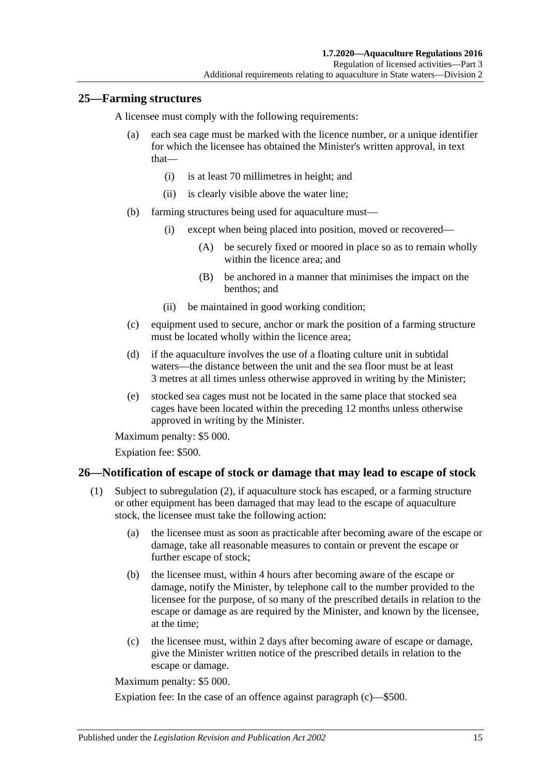## <span id="page-14-0"></span>**25—Farming structures**

A licensee must comply with the following requirements:

- (a) each sea cage must be marked with the licence number, or a unique identifier for which the licensee has obtained the Minister's written approval, in text that—
	- (i) is at least 70 millimetres in height; and
	- (ii) is clearly visible above the water line;
- (b) farming structures being used for aquaculture must—
	- (i) except when being placed into position, moved or recovered—
		- (A) be securely fixed or moored in place so as to remain wholly within the licence area; and
		- (B) be anchored in a manner that minimises the impact on the benthos; and
	- (ii) be maintained in good working condition;
- (c) equipment used to secure, anchor or mark the position of a farming structure must be located wholly within the licence area;
- <span id="page-14-4"></span>(d) if the aquaculture involves the use of a floating culture unit in subtidal waters—the distance between the unit and the sea floor must be at least 3 metres at all times unless otherwise approved in writing by the Minister;
- (e) stocked sea cages must not be located in the same place that stocked sea cages have been located within the preceding 12 months unless otherwise approved in writing by the Minister.

Maximum penalty: \$5 000.

Expiation fee: \$500.

## <span id="page-14-3"></span><span id="page-14-1"></span>**26—Notification of escape of stock or damage that may lead to escape of stock**

- (1) Subject to [subregulation](#page-15-1) (2), if aquaculture stock has escaped, or a farming structure or other equipment has been damaged that may lead to the escape of aquaculture stock, the licensee must take the following action:
	- (a) the licensee must as soon as practicable after becoming aware of the escape or damage, take all reasonable measures to contain or prevent the escape or further escape of stock;
	- (b) the licensee must, within 4 hours after becoming aware of the escape or damage, notify the Minister, by telephone call to the number provided to the licensee for the purpose, of so many of the prescribed details in relation to the escape or damage as are required by the Minister, and known by the licensee, at the time;
	- (c) the licensee must, within 2 days after becoming aware of escape or damage, give the Minister written notice of the prescribed details in relation to the escape or damage.

<span id="page-14-2"></span>Maximum penalty: \$5 000.

Expiation fee: In the case of an offence against [paragraph](#page-14-2) (c)—\$500.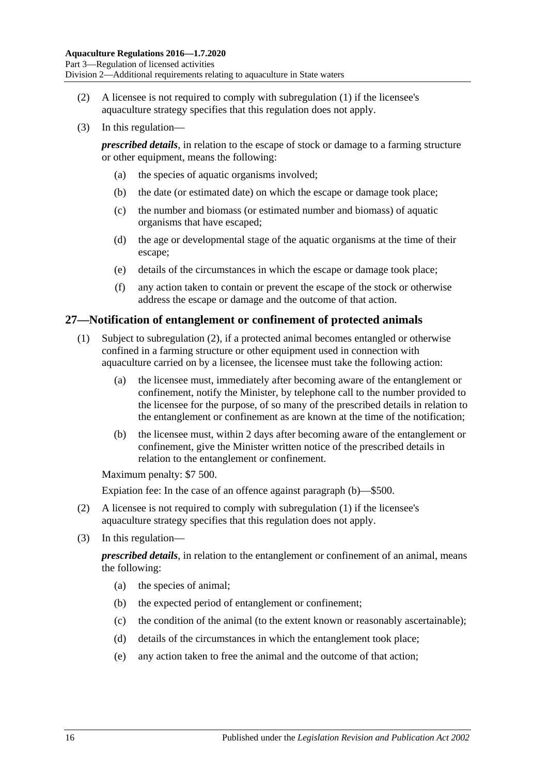- <span id="page-15-1"></span>(2) A licensee is not required to comply with [subregulation](#page-14-3) (1) if the licensee's aquaculture strategy specifies that this regulation does not apply.
- (3) In this regulation—

*prescribed details*, in relation to the escape of stock or damage to a farming structure or other equipment, means the following:

- (a) the species of aquatic organisms involved;
- (b) the date (or estimated date) on which the escape or damage took place;
- (c) the number and biomass (or estimated number and biomass) of aquatic organisms that have escaped;
- (d) the age or developmental stage of the aquatic organisms at the time of their escape;
- (e) details of the circumstances in which the escape or damage took place;
- (f) any action taken to contain or prevent the escape of the stock or otherwise address the escape or damage and the outcome of that action.

#### <span id="page-15-0"></span>**27—Notification of entanglement or confinement of protected animals**

- (1) Subject to [subregulation](#page-15-2) (2), if a protected animal becomes entangled or otherwise confined in a farming structure or other equipment used in connection with aquaculture carried on by a licensee, the licensee must take the following action:
	- (a) the licensee must, immediately after becoming aware of the entanglement or confinement, notify the Minister, by telephone call to the number provided to the licensee for the purpose, of so many of the prescribed details in relation to the entanglement or confinement as are known at the time of the notification;
	- (b) the licensee must, within 2 days after becoming aware of the entanglement or confinement, give the Minister written notice of the prescribed details in relation to the entanglement or confinement.

<span id="page-15-3"></span>Maximum penalty: \$7 500.

Expiation fee: In the case of an offence against [paragraph](#page-15-3) (b)—\$500.

- <span id="page-15-2"></span>(2) A licensee is not required to comply with [subregulation](#page-14-3) (1) if the licensee's aquaculture strategy specifies that this regulation does not apply.
- (3) In this regulation—

*prescribed details*, in relation to the entanglement or confinement of an animal, means the following:

- (a) the species of animal;
- (b) the expected period of entanglement or confinement;
- (c) the condition of the animal (to the extent known or reasonably ascertainable);
- (d) details of the circumstances in which the entanglement took place;
- (e) any action taken to free the animal and the outcome of that action;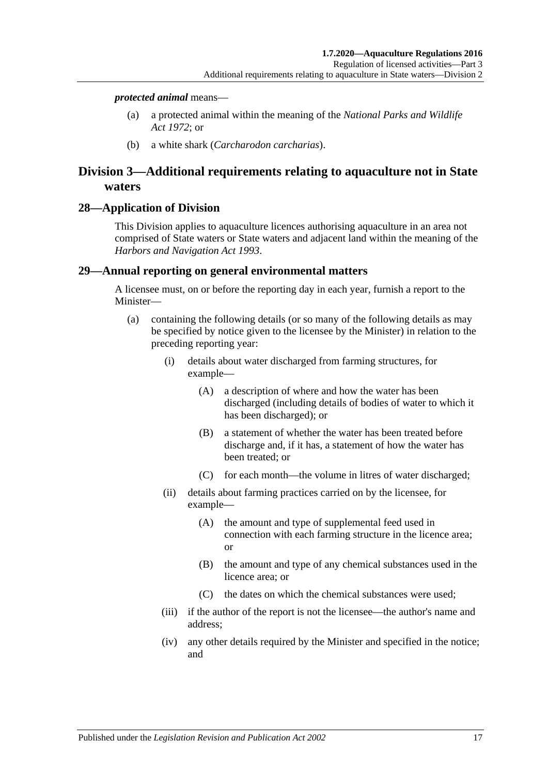#### *protected animal* means—

- (a) a protected animal within the meaning of the *[National Parks and Wildlife](http://www.legislation.sa.gov.au/index.aspx?action=legref&type=act&legtitle=National%20Parks%20and%20Wildlife%20Act%201972)  Act [1972](http://www.legislation.sa.gov.au/index.aspx?action=legref&type=act&legtitle=National%20Parks%20and%20Wildlife%20Act%201972)*; or
- (b) a white shark (*Carcharodon carcharias*).

## <span id="page-16-0"></span>**Division 3—Additional requirements relating to aquaculture not in State waters**

#### <span id="page-16-1"></span>**28—Application of Division**

This Division applies to aquaculture licences authorising aquaculture in an area not comprised of State waters or State waters and adjacent land within the meaning of the *[Harbors and Navigation Act](http://www.legislation.sa.gov.au/index.aspx?action=legref&type=act&legtitle=Harbors%20and%20Navigation%20Act%201993) 1993*.

#### <span id="page-16-2"></span>**29—Annual reporting on general environmental matters**

A licensee must, on or before the reporting day in each year, furnish a report to the Minister—

- (a) containing the following details (or so many of the following details as may be specified by notice given to the licensee by the Minister) in relation to the preceding reporting year:
	- (i) details about water discharged from farming structures, for example—
		- (A) a description of where and how the water has been discharged (including details of bodies of water to which it has been discharged); or
		- (B) a statement of whether the water has been treated before discharge and, if it has, a statement of how the water has been treated; or
		- (C) for each month—the volume in litres of water discharged;
	- (ii) details about farming practices carried on by the licensee, for example—
		- (A) the amount and type of supplemental feed used in connection with each farming structure in the licence area; or
		- (B) the amount and type of any chemical substances used in the licence area; or
		- (C) the dates on which the chemical substances were used;
	- (iii) if the author of the report is not the licensee—the author's name and address;
	- (iv) any other details required by the Minister and specified in the notice; and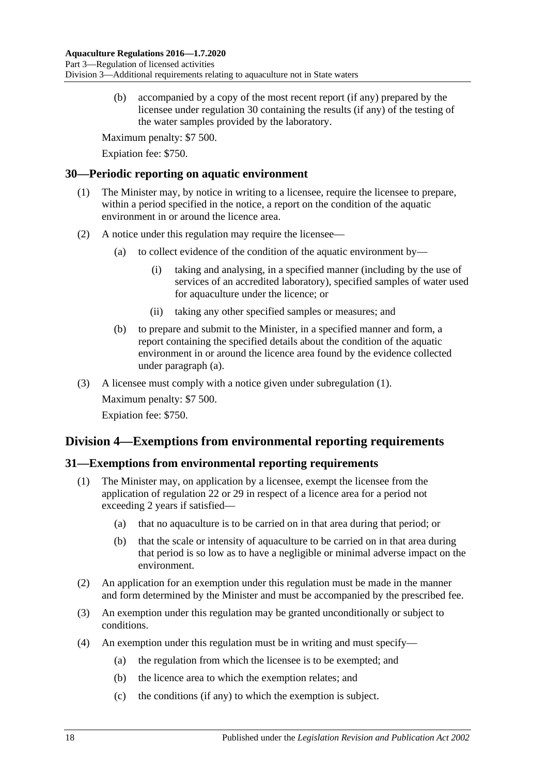(b) accompanied by a copy of the most recent report (if any) prepared by the licensee under [regulation](#page-17-0) 30 containing the results (if any) of the testing of the water samples provided by the laboratory.

Maximum penalty: \$7 500.

Expiation fee: \$750.

## <span id="page-17-4"></span><span id="page-17-0"></span>**30—Periodic reporting on aquatic environment**

- (1) The Minister may, by notice in writing to a licensee, require the licensee to prepare, within a period specified in the notice, a report on the condition of the aquatic environment in or around the licence area.
- <span id="page-17-3"></span>(2) A notice under this regulation may require the licensee—
	- (a) to collect evidence of the condition of the aquatic environment by—
		- (i) taking and analysing, in a specified manner (including by the use of services of an accredited laboratory), specified samples of water used for aquaculture under the licence; or
		- (ii) taking any other specified samples or measures; and
	- (b) to prepare and submit to the Minister, in a specified manner and form, a report containing the specified details about the condition of the aquatic environment in or around the licence area found by the evidence collected under [paragraph](#page-17-3) (a).
- (3) A licensee must comply with a notice given under [subregulation](#page-17-4) (1).

Maximum penalty: \$7 500. Expiation fee: \$750.

## <span id="page-17-1"></span>**Division 4—Exemptions from environmental reporting requirements**

## <span id="page-17-2"></span>**31—Exemptions from environmental reporting requirements**

- (1) The Minister may, on application by a licensee, exempt the licensee from the application of [regulation](#page-12-1) 22 or [29](#page-16-2) in respect of a licence area for a period not exceeding 2 years if satisfied—
	- (a) that no aquaculture is to be carried on in that area during that period; or
	- (b) that the scale or intensity of aquaculture to be carried on in that area during that period is so low as to have a negligible or minimal adverse impact on the environment.
- (2) An application for an exemption under this regulation must be made in the manner and form determined by the Minister and must be accompanied by the prescribed fee.
- (3) An exemption under this regulation may be granted unconditionally or subject to conditions.
- (4) An exemption under this regulation must be in writing and must specify—
	- (a) the regulation from which the licensee is to be exempted; and
	- (b) the licence area to which the exemption relates; and
	- (c) the conditions (if any) to which the exemption is subject.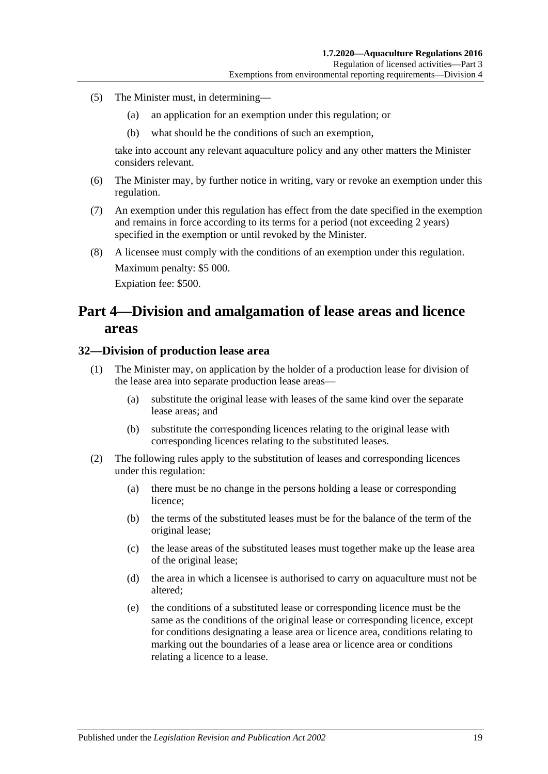- (5) The Minister must, in determining—
	- (a) an application for an exemption under this regulation; or
	- (b) what should be the conditions of such an exemption,

take into account any relevant aquaculture policy and any other matters the Minister considers relevant.

- (6) The Minister may, by further notice in writing, vary or revoke an exemption under this regulation.
- (7) An exemption under this regulation has effect from the date specified in the exemption and remains in force according to its terms for a period (not exceeding 2 years) specified in the exemption or until revoked by the Minister.
- (8) A licensee must comply with the conditions of an exemption under this regulation. Maximum penalty: \$5 000. Expiation fee: \$500.

# <span id="page-18-0"></span>**Part 4—Division and amalgamation of lease areas and licence areas**

#### <span id="page-18-1"></span>**32—Division of production lease area**

- (1) The Minister may, on application by the holder of a production lease for division of the lease area into separate production lease areas—
	- (a) substitute the original lease with leases of the same kind over the separate lease areas; and
	- (b) substitute the corresponding licences relating to the original lease with corresponding licences relating to the substituted leases.
- (2) The following rules apply to the substitution of leases and corresponding licences under this regulation:
	- (a) there must be no change in the persons holding a lease or corresponding licence;
	- (b) the terms of the substituted leases must be for the balance of the term of the original lease;
	- (c) the lease areas of the substituted leases must together make up the lease area of the original lease;
	- (d) the area in which a licensee is authorised to carry on aquaculture must not be altered;
	- (e) the conditions of a substituted lease or corresponding licence must be the same as the conditions of the original lease or corresponding licence, except for conditions designating a lease area or licence area, conditions relating to marking out the boundaries of a lease area or licence area or conditions relating a licence to a lease.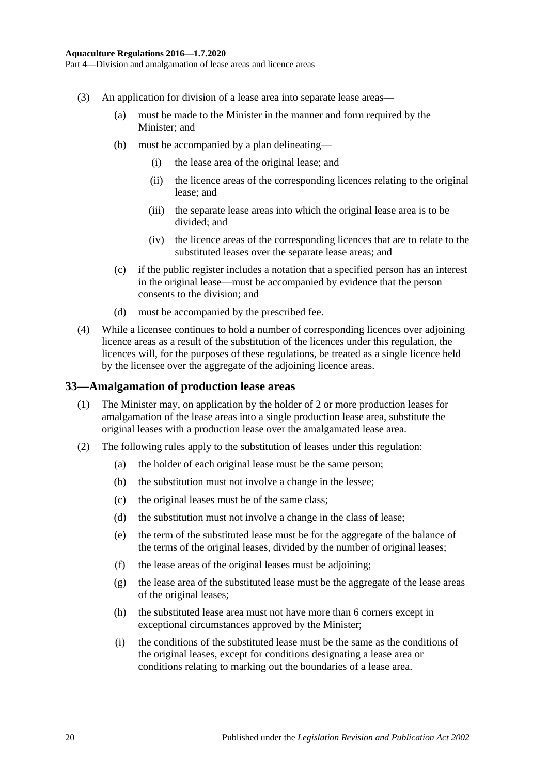Part 4—Division and amalgamation of lease areas and licence areas

- (3) An application for division of a lease area into separate lease areas—
	- (a) must be made to the Minister in the manner and form required by the Minister; and
	- (b) must be accompanied by a plan delineating—
		- (i) the lease area of the original lease; and
		- (ii) the licence areas of the corresponding licences relating to the original lease; and
		- (iii) the separate lease areas into which the original lease area is to be divided; and
		- (iv) the licence areas of the corresponding licences that are to relate to the substituted leases over the separate lease areas; and
	- (c) if the public register includes a notation that a specified person has an interest in the original lease—must be accompanied by evidence that the person consents to the division; and
	- (d) must be accompanied by the prescribed fee.
- (4) While a licensee continues to hold a number of corresponding licences over adjoining licence areas as a result of the substitution of the licences under this regulation, the licences will, for the purposes of these regulations, be treated as a single licence held by the licensee over the aggregate of the adjoining licence areas.

#### <span id="page-19-0"></span>**33—Amalgamation of production lease areas**

- (1) The Minister may, on application by the holder of 2 or more production leases for amalgamation of the lease areas into a single production lease area, substitute the original leases with a production lease over the amalgamated lease area.
- <span id="page-19-1"></span>(2) The following rules apply to the substitution of leases under this regulation:
	- (a) the holder of each original lease must be the same person;
	- (b) the substitution must not involve a change in the lessee;
	- (c) the original leases must be of the same class;
	- (d) the substitution must not involve a change in the class of lease;
	- (e) the term of the substituted lease must be for the aggregate of the balance of the terms of the original leases, divided by the number of original leases;
	- (f) the lease areas of the original leases must be adjoining;
	- (g) the lease area of the substituted lease must be the aggregate of the lease areas of the original leases;
	- (h) the substituted lease area must not have more than 6 corners except in exceptional circumstances approved by the Minister;
	- (i) the conditions of the substituted lease must be the same as the conditions of the original leases, except for conditions designating a lease area or conditions relating to marking out the boundaries of a lease area.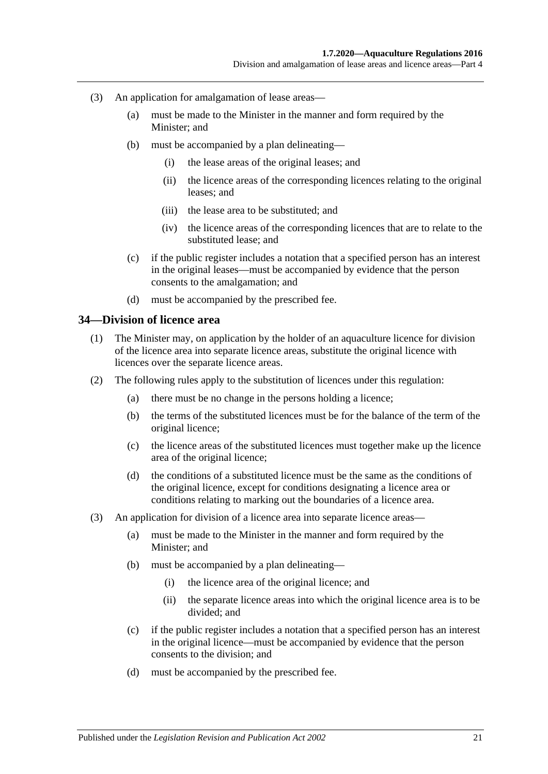Division and amalgamation of lease areas and licence areas—Part 4

- (3) An application for amalgamation of lease areas—
	- (a) must be made to the Minister in the manner and form required by the Minister; and
	- (b) must be accompanied by a plan delineating—
		- (i) the lease areas of the original leases; and
		- (ii) the licence areas of the corresponding licences relating to the original leases; and
		- (iii) the lease area to be substituted; and
		- (iv) the licence areas of the corresponding licences that are to relate to the substituted lease; and
	- (c) if the public register includes a notation that a specified person has an interest in the original leases—must be accompanied by evidence that the person consents to the amalgamation; and
	- (d) must be accompanied by the prescribed fee.

#### <span id="page-20-0"></span>**34—Division of licence area**

- (1) The Minister may, on application by the holder of an aquaculture licence for division of the licence area into separate licence areas, substitute the original licence with licences over the separate licence areas.
- (2) The following rules apply to the substitution of licences under this regulation:
	- (a) there must be no change in the persons holding a licence;
	- (b) the terms of the substituted licences must be for the balance of the term of the original licence;
	- (c) the licence areas of the substituted licences must together make up the licence area of the original licence;
	- (d) the conditions of a substituted licence must be the same as the conditions of the original licence, except for conditions designating a licence area or conditions relating to marking out the boundaries of a licence area.
- (3) An application for division of a licence area into separate licence areas—
	- (a) must be made to the Minister in the manner and form required by the Minister; and
	- (b) must be accompanied by a plan delineating—
		- (i) the licence area of the original licence; and
		- (ii) the separate licence areas into which the original licence area is to be divided; and
	- (c) if the public register includes a notation that a specified person has an interest in the original licence—must be accompanied by evidence that the person consents to the division; and
	- (d) must be accompanied by the prescribed fee.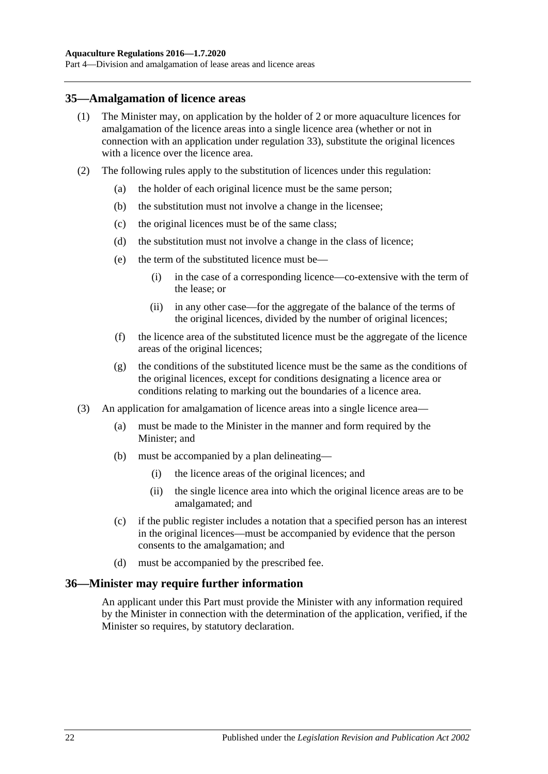Part 4—Division and amalgamation of lease areas and licence areas

#### <span id="page-21-0"></span>**35—Amalgamation of licence areas**

- (1) The Minister may, on application by the holder of 2 or more aquaculture licences for amalgamation of the licence areas into a single licence area (whether or not in connection with an application under [regulation](#page-19-0) 33), substitute the original licences with a licence over the licence area.
- (2) The following rules apply to the substitution of licences under this regulation:
	- (a) the holder of each original licence must be the same person;
	- (b) the substitution must not involve a change in the licensee;
	- (c) the original licences must be of the same class;
	- (d) the substitution must not involve a change in the class of licence;
	- (e) the term of the substituted licence must be—
		- (i) in the case of a corresponding licence—co-extensive with the term of the lease; or
		- (ii) in any other case—for the aggregate of the balance of the terms of the original licences, divided by the number of original licences;
	- (f) the licence area of the substituted licence must be the aggregate of the licence areas of the original licences;
	- (g) the conditions of the substituted licence must be the same as the conditions of the original licences, except for conditions designating a licence area or conditions relating to marking out the boundaries of a licence area.
- (3) An application for amalgamation of licence areas into a single licence area—
	- (a) must be made to the Minister in the manner and form required by the Minister; and
	- (b) must be accompanied by a plan delineating—
		- (i) the licence areas of the original licences; and
		- (ii) the single licence area into which the original licence areas are to be amalgamated; and
	- (c) if the public register includes a notation that a specified person has an interest in the original licences—must be accompanied by evidence that the person consents to the amalgamation; and
	- (d) must be accompanied by the prescribed fee.

#### <span id="page-21-1"></span>**36—Minister may require further information**

An applicant under this Part must provide the Minister with any information required by the Minister in connection with the determination of the application, verified, if the Minister so requires, by statutory declaration.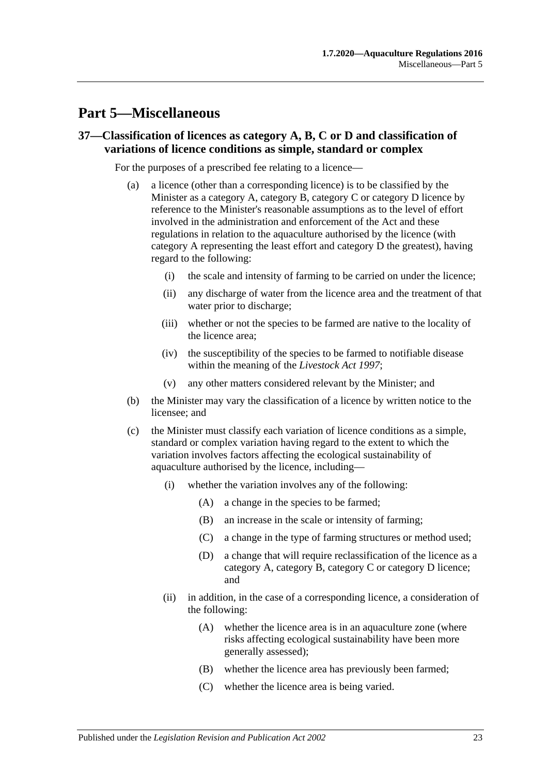# <span id="page-22-0"></span>**Part 5—Miscellaneous**

### <span id="page-22-1"></span>**37—Classification of licences as category A, B, C or D and classification of variations of licence conditions as simple, standard or complex**

For the purposes of a prescribed fee relating to a licence—

- (a) a licence (other than a corresponding licence) is to be classified by the Minister as a category A, category B, category C or category D licence by reference to the Minister's reasonable assumptions as to the level of effort involved in the administration and enforcement of the Act and these regulations in relation to the aquaculture authorised by the licence (with category A representing the least effort and category D the greatest), having regard to the following:
	- (i) the scale and intensity of farming to be carried on under the licence;
	- (ii) any discharge of water from the licence area and the treatment of that water prior to discharge;
	- (iii) whether or not the species to be farmed are native to the locality of the licence area;
	- (iv) the susceptibility of the species to be farmed to notifiable disease within the meaning of the *[Livestock Act](http://www.legislation.sa.gov.au/index.aspx?action=legref&type=act&legtitle=Livestock%20Act%201997) 1997*;
	- (v) any other matters considered relevant by the Minister; and
- (b) the Minister may vary the classification of a licence by written notice to the licensee; and
- (c) the Minister must classify each variation of licence conditions as a simple, standard or complex variation having regard to the extent to which the variation involves factors affecting the ecological sustainability of aquaculture authorised by the licence, including—
	- (i) whether the variation involves any of the following:
		- (A) a change in the species to be farmed;
		- (B) an increase in the scale or intensity of farming;
		- (C) a change in the type of farming structures or method used;
		- (D) a change that will require reclassification of the licence as a category A, category B, category C or category D licence; and
	- (ii) in addition, in the case of a corresponding licence, a consideration of the following:
		- (A) whether the licence area is in an aquaculture zone (where risks affecting ecological sustainability have been more generally assessed);
		- (B) whether the licence area has previously been farmed;
		- (C) whether the licence area is being varied.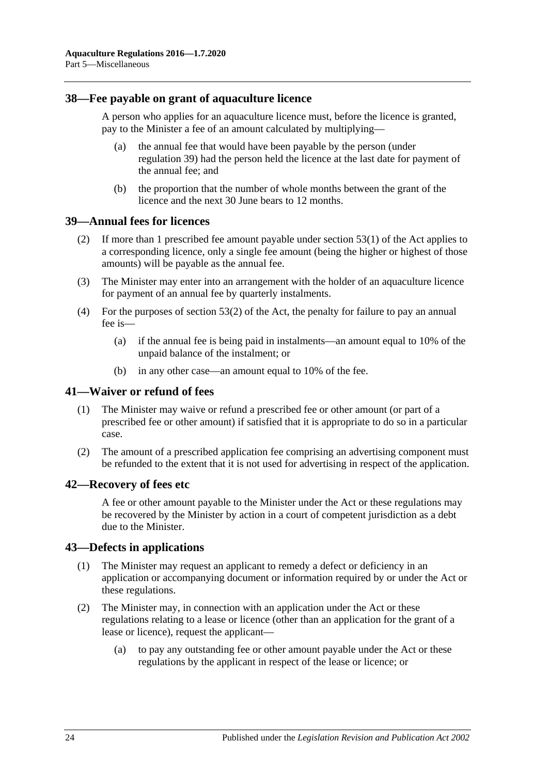### <span id="page-23-0"></span>**38—Fee payable on grant of aquaculture licence**

A person who applies for an aquaculture licence must, before the licence is granted, pay to the Minister a fee of an amount calculated by multiplying—

- (a) the annual fee that would have been payable by the person (under [regulation](#page-23-1) 39) had the person held the licence at the last date for payment of the annual fee; and
- (b) the proportion that the number of whole months between the grant of the licence and the next 30 June bears to 12 months.

## <span id="page-23-1"></span>**39—Annual fees for licences**

- (2) If more than 1 prescribed fee amount payable under section 53(1) of the Act applies to a corresponding licence, only a single fee amount (being the higher or highest of those amounts) will be payable as the annual fee.
- (3) The Minister may enter into an arrangement with the holder of an aquaculture licence for payment of an annual fee by quarterly instalments.
- (4) For the purposes of section 53(2) of the Act, the penalty for failure to pay an annual fee is—
	- (a) if the annual fee is being paid in instalments—an amount equal to 10% of the unpaid balance of the instalment; or
	- (b) in any other case—an amount equal to 10% of the fee.

#### <span id="page-23-2"></span>**41—Waiver or refund of fees**

- (1) The Minister may waive or refund a prescribed fee or other amount (or part of a prescribed fee or other amount) if satisfied that it is appropriate to do so in a particular case.
- (2) The amount of a prescribed application fee comprising an advertising component must be refunded to the extent that it is not used for advertising in respect of the application.

#### <span id="page-23-3"></span>**42—Recovery of fees etc**

A fee or other amount payable to the Minister under the Act or these regulations may be recovered by the Minister by action in a court of competent jurisdiction as a debt due to the Minister.

#### <span id="page-23-4"></span>**43—Defects in applications**

- (1) The Minister may request an applicant to remedy a defect or deficiency in an application or accompanying document or information required by or under the Act or these regulations.
- (2) The Minister may, in connection with an application under the Act or these regulations relating to a lease or licence (other than an application for the grant of a lease or licence), request the applicant—
	- (a) to pay any outstanding fee or other amount payable under the Act or these regulations by the applicant in respect of the lease or licence; or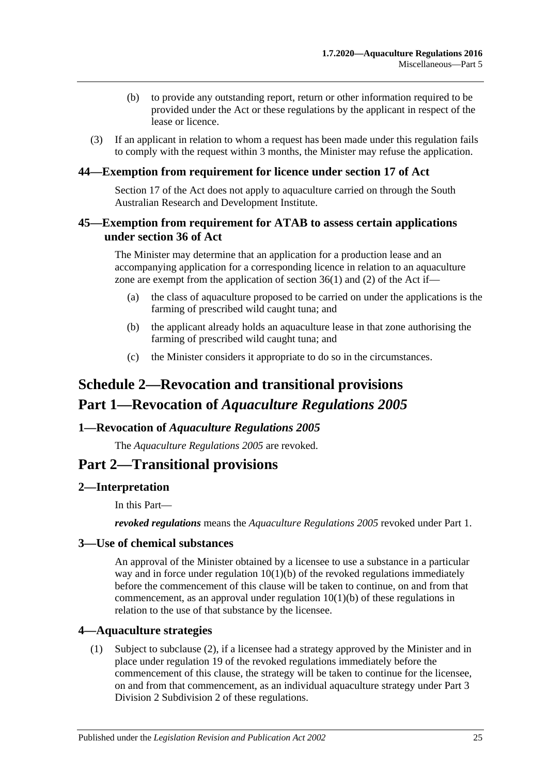- (b) to provide any outstanding report, return or other information required to be provided under the Act or these regulations by the applicant in respect of the lease or licence.
- (3) If an applicant in relation to whom a request has been made under this regulation fails to comply with the request within 3 months, the Minister may refuse the application.

## <span id="page-24-0"></span>**44—Exemption from requirement for licence under section 17 of Act**

Section 17 of the Act does not apply to aquaculture carried on through the South Australian Research and Development Institute.

## <span id="page-24-1"></span>**45—Exemption from requirement for ATAB to assess certain applications under section 36 of Act**

The Minister may determine that an application for a production lease and an accompanying application for a corresponding licence in relation to an aquaculture zone are exempt from the application of section  $36(1)$  and (2) of the Act if—

- (a) the class of aquaculture proposed to be carried on under the applications is the farming of prescribed wild caught tuna; and
- (b) the applicant already holds an aquaculture lease in that zone authorising the farming of prescribed wild caught tuna; and
- (c) the Minister considers it appropriate to do so in the circumstances.

# <span id="page-24-2"></span>**Schedule 2—Revocation and transitional provisions Part 1—Revocation of** *Aquaculture Regulations 2005*

#### <span id="page-24-3"></span>**1—Revocation of** *Aquaculture Regulations 2005*

The *[Aquaculture Regulations](http://www.legislation.sa.gov.au/index.aspx?action=legref&type=subordleg&legtitle=Aquaculture%20Regulations%202005) 2005* are revoked.

## **Part 2—Transitional provisions**

## <span id="page-24-4"></span>**2—Interpretation**

In this Part—

*revoked regulations* means the *[Aquaculture Regulations](http://www.legislation.sa.gov.au/index.aspx?action=legref&type=subordleg&legtitle=Aquaculture%20Regulations%202005) 2005* revoked under Part 1.

## <span id="page-24-5"></span>**3—Use of chemical substances**

An approval of the Minister obtained by a licensee to use a substance in a particular way and in force under regulation 10(1)(b) of the revoked regulations immediately before the commencement of this clause will be taken to continue, on and from that commencement, as an approval under [regulation](#page-5-6) 10(1)(b) of these regulations in relation to the use of that substance by the licensee.

#### <span id="page-24-6"></span>**4—Aquaculture strategies**

(1) Subject to [subclause](#page-25-4) (2), if a licensee had a strategy approved by the Minister and in place under regulation 19 of the revoked regulations immediately before the commencement of this clause, the strategy will be taken to continue for the licensee, on and from that commencement, as an individual aquaculture strategy under [Part](#page-10-3) 3 Division [2 Subdivision](#page-10-3) 2 of these regulations.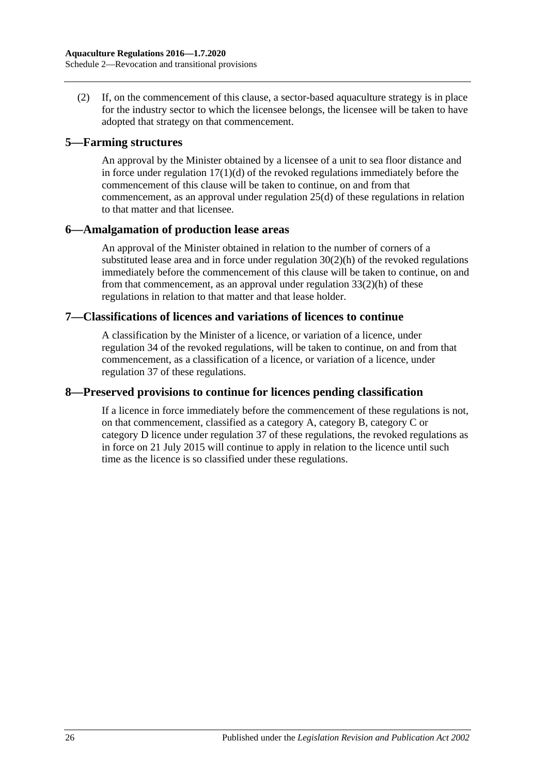<span id="page-25-4"></span>(2) If, on the commencement of this clause, a sector-based aquaculture strategy is in place for the industry sector to which the licensee belongs, the licensee will be taken to have adopted that strategy on that commencement.

### <span id="page-25-0"></span>**5—Farming structures**

An approval by the Minister obtained by a licensee of a unit to sea floor distance and in force under regulation  $17(1)(d)$  of the revoked regulations immediately before the commencement of this clause will be taken to continue, on and from that commencement, as an approval under [regulation](#page-14-4) 25(d) of these regulations in relation to that matter and that licensee.

## <span id="page-25-1"></span>**6—Amalgamation of production lease areas**

An approval of the Minister obtained in relation to the number of corners of a substituted lease area and in force under regulation  $30(2)(h)$  of the revoked regulations immediately before the commencement of this clause will be taken to continue, on and from that commencement, as an approval under [regulation](#page-19-1) 33(2)(h) of these regulations in relation to that matter and that lease holder.

## <span id="page-25-2"></span>**7—Classifications of licences and variations of licences to continue**

A classification by the Minister of a licence, or variation of a licence, under regulation 34 of the revoked regulations, will be taken to continue, on and from that commencement, as a classification of a licence, or variation of a licence, under [regulation](#page-22-1) 37 of these regulations.

## <span id="page-25-3"></span>**8—Preserved provisions to continue for licences pending classification**

If a licence in force immediately before the commencement of these regulations is not, on that commencement, classified as a category A, category B, category C or category D licence under [regulation](#page-22-1) 37 of these regulations, the revoked regulations as in force on 21 July 2015 will continue to apply in relation to the licence until such time as the licence is so classified under these regulations.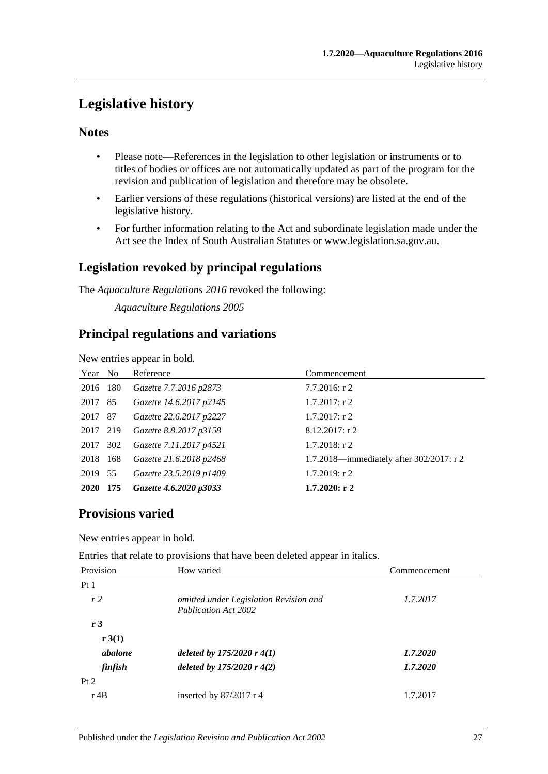# <span id="page-26-0"></span>**Legislative history**

## **Notes**

- Please note—References in the legislation to other legislation or instruments or to titles of bodies or offices are not automatically updated as part of the program for the revision and publication of legislation and therefore may be obsolete.
- Earlier versions of these regulations (historical versions) are listed at the end of the legislative history.
- For further information relating to the Act and subordinate legislation made under the Act see the Index of South Australian Statutes or www.legislation.sa.gov.au.

## **Legislation revoked by principal regulations**

The *Aquaculture Regulations 2016* revoked the following:

*Aquaculture Regulations 2005*

## **Principal regulations and variations**

New entries appear in bold.

| Year No  |     | Reference               | Commencement                             |
|----------|-----|-------------------------|------------------------------------------|
| 2016 180 |     | Gazette 7.7.2016 p2873  | $7.7.2016$ : r 2                         |
| 2017 85  |     | Gazette 14.6.2017 p2145 | $1.7.2017:$ r 2                          |
| 2017 87  |     | Gazette 22.6.2017 p2227 | $1.7.2017:$ r 2                          |
| 2017 219 |     | Gazette 8.8.2017 p3158  | $8.12.2017:$ r 2                         |
| 2017     | 302 | Gazette 7.11.2017 p4521 | $1.7.2018$ : r 2                         |
| 2018 168 |     | Gazette 21.6.2018 p2468 | 1.7.2018—immediately after 302/2017: r 2 |
| 2019 55  |     | Gazette 23.5.2019 p1409 | $1.7.2019$ : r 2                         |
| 2020 175 |     | Gazette 4.6.2020 p3033  | $1.7.2020:$ r 2                          |

## **Provisions varied**

New entries appear in bold.

Entries that relate to provisions that have been deleted appear in italics.

| Provision      | How varied                                                            | Commencement |
|----------------|-----------------------------------------------------------------------|--------------|
| Pt1            |                                                                       |              |
| r <sub>2</sub> | omitted under Legislation Revision and<br><b>Publication Act 2002</b> | 1.7.2017     |
| r3             |                                                                       |              |
| r 3(1)         |                                                                       |              |
| abalone        | deleted by $175/2020r 4(1)$                                           | 1.7.2020     |
| finfish        | deleted by $175/2020r$ 4(2)                                           | 1.7.2020     |
| Pt 2           |                                                                       |              |
| $r$ 4B         | inserted by $87/2017$ r 4                                             | 1.7.2017     |